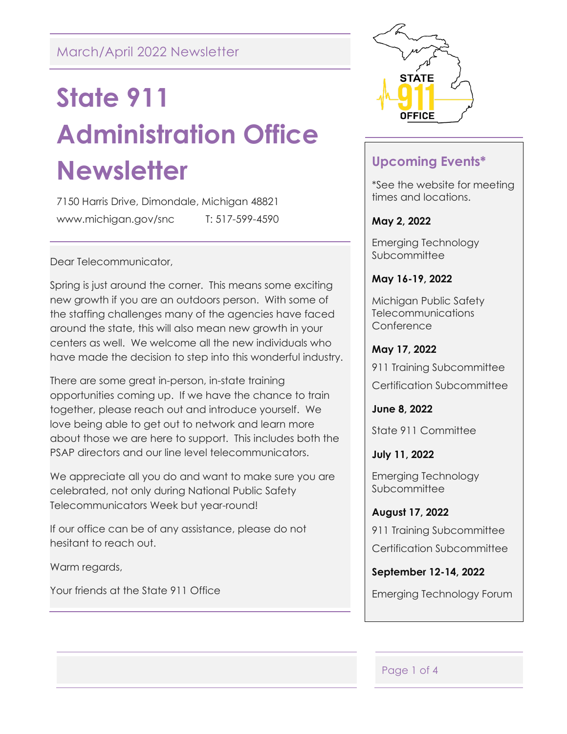## March/April 2022 Newsletter

# **State 911 Administration Office Newsletter**

7150 Harris Drive, Dimondale, Michigan 48821 www.michigan.gov/snc T: 517-599-4590

Dear Telecommunicator,

Spring is just around the corner. This means some exciting new growth if you are an outdoors person. With some of the staffing challenges many of the agencies have faced around the state, this will also mean new growth in your centers as well. We welcome all the new individuals who have made the decision to step into this wonderful industry.

There are some great in-person, in-state training opportunities coming up. If we have the chance to train together, please reach out and introduce yourself. We love being able to get out to network and learn more about those we are here to support. This includes both the PSAP directors and our line level telecommunicators.

We appreciate all you do and want to make sure you are celebrated, not only during National Public Safety Telecommunicators Week but year-round!

If our office can be of any assistance, please do not hesitant to reach out.

Warm regards,

Your friends at the State 911 Office



## **Upcoming Events\***

\*See the website for meeting times and locations.

#### **May 2, 2022**

Emerging Technology **Subcommittee** 

#### **May 16-19, 2022**

Michigan Public Safety Telecommunications **Conference** 

#### **May 17, 2022**

911 Training Subcommittee Certification Subcommittee

**June 8, 2022**

State 911 Committee

**July 11, 2022**

Emerging Technology **Subcommittee** 

**August 17, 2022** 911 Training Subcommittee Certification Subcommittee

**September 12-14, 2022** Emerging Technology Forum

#### Page 1 of 4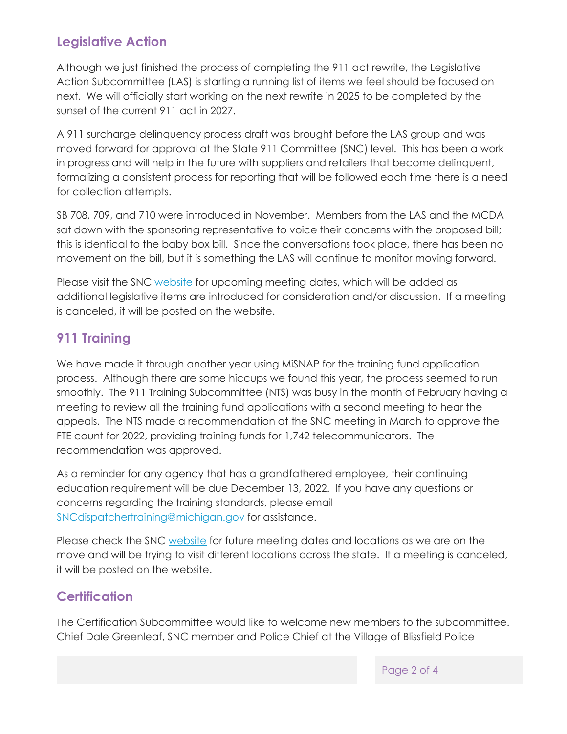## **Legislative Action**

Although we just finished the process of completing the 911 act rewrite, the Legislative Action Subcommittee (LAS) is starting a running list of items we feel should be focused on next. We will officially start working on the next rewrite in 2025 to be completed by the sunset of the current 911 act in 2027.

A 911 surcharge delinquency process draft was brought before the LAS group and was moved forward for approval at the State 911 Committee (SNC) level. This has been a work in progress and will help in the future with suppliers and retailers that become delinquent, formalizing a consistent process for reporting that will be followed each time there is a need for collection attempts.

SB 708, 709, and 710 were introduced in November. Members from the LAS and the MCDA sat down with the sponsoring representative to voice their concerns with the proposed bill; this is identical to the baby box bill. Since the conversations took place, there has been no movement on the bill, but it is something the LAS will continue to monitor moving forward.

Please visit the SNC [website](https://www.michigan.gov/msp/0,4643,7-123-72297_47748_47752---,00.html) for upcoming meeting dates, which will be added as additional legislative items are introduced for consideration and/or discussion. If a meeting is canceled, it will be posted on the website.

## **911 Training**

We have made it through another year using MiSNAP for the training fund application process. Although there are some hiccups we found this year, the process seemed to run smoothly. The 911 Training Subcommittee (NTS) was busy in the month of February having a meeting to review all the training fund applications with a second meeting to hear the appeals. The NTS made a recommendation at the SNC meeting in March to approve the FTE count for 2022, providing training funds for 1,742 telecommunicators. The recommendation was approved.

As a reminder for any agency that has a grandfathered employee, their continuing education requirement will be due December 13, 2022. If you have any questions or concerns regarding the training standards, please email [SNCdispatchertraining@michigan.gov](mailto:SNCdispatchertraining@michigan.gov) for assistance.

Please check the SNC [website](https://www.michigan.gov/msp/0,4643,7-123-72297_47748_48059---,00.html) for future meeting dates and locations as we are on the move and will be trying to visit different locations across the state. If a meeting is canceled, it will be posted on the website.

## **Certification**

The Certification Subcommittee would like to welcome new members to the subcommittee. Chief Dale Greenleaf, SNC member and Police Chief at the Village of Blissfield Police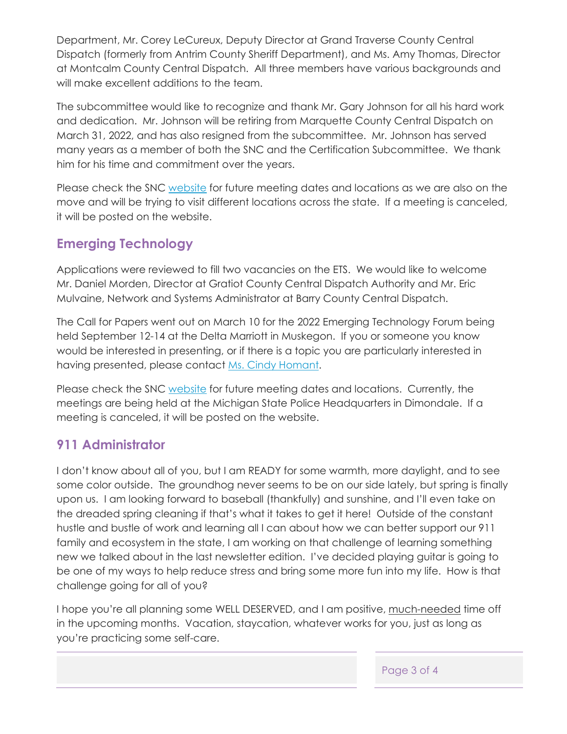Department, Mr. Corey LeCureux, Deputy Director at Grand Traverse County Central Dispatch (formerly from Antrim County Sheriff Department), and Ms. Amy Thomas, Director at Montcalm County Central Dispatch. All three members have various backgrounds and will make excellent additions to the team.

The subcommittee would like to recognize and thank Mr. Gary Johnson for all his hard work and dedication. Mr. Johnson will be retiring from Marquette County Central Dispatch on March 31, 2022, and has also resigned from the subcommittee. Mr. Johnson has served many years as a member of both the SNC and the Certification Subcommittee. We thank him for his time and commitment over the years.

Please check the SNC [website](https://www.michigan.gov/msp/0,4643,7-123-72297_47748_81470---,00.html) for future meeting dates and locations as we are also on the move and will be trying to visit different locations across the state. If a meeting is canceled, it will be posted on the website.

## **Emerging Technology**

Applications were reviewed to fill two vacancies on the ETS. We would like to welcome Mr. Daniel Morden, Director at Gratiot County Central Dispatch Authority and Mr. Eric Mulvaine, Network and Systems Administrator at Barry County Central Dispatch.

The Call for Papers went out on March 10 for the 2022 Emerging Technology Forum being held September 12-14 at the Delta Marriott in Muskegon. If you or someone you know would be interested in presenting, or if there is a topic you are particularly interested in having presented, please contact [Ms. Cindy Homant.](mailto:homantc@michigan.gov)

Please check the SNC [website](https://www.michigan.gov/msp/0,4643,7-123-72297_47748_47749---,00.html) for future meeting dates and locations. Currently, the meetings are being held at the Michigan State Police Headquarters in Dimondale. If a meeting is canceled, it will be posted on the website.

## **911 Administrator**

I don't know about all of you, but I am READY for some warmth, more daylight, and to see some color outside. The groundhog never seems to be on our side lately, but spring is finally upon us. I am looking forward to baseball (thankfully) and sunshine, and I'll even take on the dreaded spring cleaning if that's what it takes to get it here! Outside of the constant hustle and bustle of work and learning all I can about how we can better support our 911 family and ecosystem in the state, I am working on that challenge of learning something new we talked about in the last newsletter edition. I've decided playing guitar is going to be one of my ways to help reduce stress and bring some more fun into my life. How is that challenge going for all of you?

I hope you're all planning some WELL DESERVED, and I am positive, much-needed time off in the upcoming months. Vacation, staycation, whatever works for you, just as long as you're practicing some self-care.